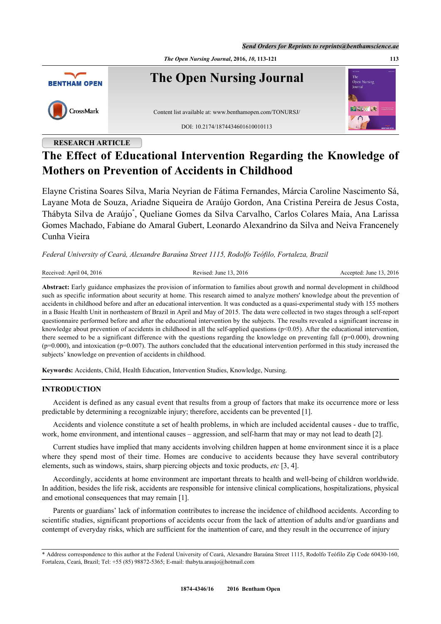*Send Orders for Reprints to reprints@benthamscience.ae*



# **RESEARCH ARTICLE**

# **The Effect of Educational Intervention Regarding the Knowledge of Mothers on Prevention of Accidents in Childhood**

Elayne Cristina Soares Silva, Maria Neyrian de Fátima Fernandes, Márcia Caroline Nascimento Sá, Layane Mota de Souza, Ariadne Siqueira de Araújo Gordon, Ana Cristina Pereira de Jesus Costa, Thábyta Silva de Araújo[\\*](#page-0-0) , Queliane Gomes da Silva Carvalho, Carlos Colares Maia, Ana Larissa Gomes Machado, Fabiane do Amaral Gubert, Leonardo Alexandrino da Silva and Neiva Francenely Cunha Vieira

*Federal University of Ceará, Alexandre Baraúna Street 1115, Rodolfo Teófilo, Fortaleza, Brazil*

| Received: April 04, 2016 | Revised: June 13, 2016 | Accepted: June 13, 2016 |
|--------------------------|------------------------|-------------------------|
|                          |                        |                         |

**Abstract:** Early guidance emphasizes the provision of information to families about growth and normal development in childhood such as specific information about security at home. This research aimed to analyze mothers' knowledge about the prevention of accidents in childhood before and after an educational intervention. It was conducted as a quasi-experimental study with 155 mothers in a Basic Health Unit in northeastern of Brazil in April and May of 2015. The data were collected in two stages through a self-report questionnaire performed before and after the educational intervention by the subjects. The results revealed a significant increase in knowledge about prevention of accidents in childhood in all the self-applied questions ( $p<0.05$ ). After the educational intervention, there seemed to be a significant difference with the questions regarding the knowledge on preventing fall ( $p=0.000$ ), drowning  $(p=0.000)$ , and intoxication  $(p=0.007)$ . The authors concluded that the educational intervention performed in this study increased the subjects' knowledge on prevention of accidents in childhood.

**Keywords:** Accidents, Child, Health Education, Intervention Studies, Knowledge, Nursing.

# **INTRODUCTION**

Accident is defined as any casual event that results from a group of factors that make its occurrence more or less predictable by determining a recognizable injury; therefore, accidents can be prevented [\[1](#page-7-0)].

Accidents and violence constitute a set of health problems, in which are included accidental causes - due to traffic, work, home environment, and intentional causes – aggression, and self-harm that may or may not lead to death [\[2](#page-7-1)].

Current studies have implied that many accidents involving children happen at home environment since it is a place where they spend most of their time. Homes are conducive to accidents because they have several contributory elements, such as windows, stairs, sharp piercing objects and toxic products, *etc* [[3,](#page-7-2) [4\]](#page-7-3).

Accordingly, accidents at home environment are important threats to health and well-being of children worldwide. In addition, besides the life risk, accidents are responsible for intensive clinical complications, hospitalizations, physical and emotional consequences that may remain [\[1](#page-7-0)].

Parents or guardians' lack of information contributes to increase the incidence of childhood accidents. According to scientific studies, significant proportions of accidents occur from the lack of attention of adults and/or guardians and contempt of everyday risks, which are sufficient for the inattention of care, and they result in the occurrence of injury

<span id="page-0-0"></span><sup>\*</sup> Address correspondence to this author at the Federal University of Ceará, Alexandre Baraúna Street 1115, Rodolfo Teófilo Zip Code 60430-160, Fortaleza, Ceará, Brazil; Tel: +55 (85) 98872-5365; E-mail: [thabyta.araujo@hotmail.com](mailto:thabyta.araujo@hotmail.com)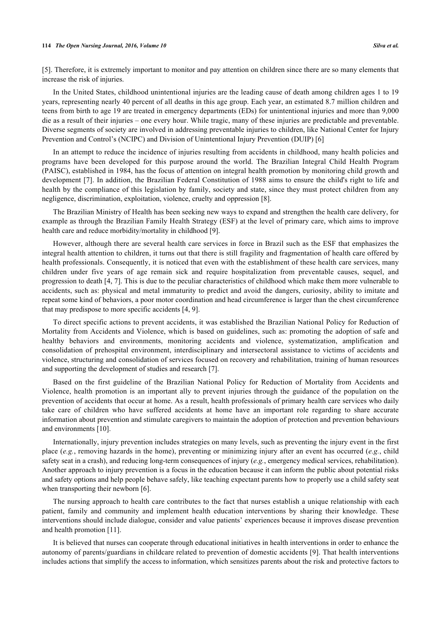### **114** *The Open Nursing Journal, 2016, Volume 10 Silva et al.*

[\[5](#page-7-4)]. Therefore, it is extremely important to monitor and pay attention on children since there are so many elements that increase the risk of injuries.

In the United States, childhood unintentional injuries are the leading cause of death among children ages 1 to 19 years, representing nearly 40 percent of all deaths in this age group. Each year, an estimated 8.7 million children and teens from birth to age 19 are treated in emergency departments (EDs) for unintentional injuries and more than 9,000 die as a result of their injuries – one every hour. While tragic, many of these injuries are predictable and preventable. Diverse segments of society are involved in addressing preventable injuries to children, like National Center for Injury Prevention and Control's (NCIPC) and Division of Unintentional Injury Prevention (DUIP) [\[6](#page-7-5)]

In an attempt to reduce the incidence of injuries resulting from accidents in childhood, many health policies and programs have been developed for this purpose around the world. The Brazilian Integral Child Health Program (PAISC), established in 1984, has the focus of attention on integral health promotion by monitoring child growth and development [\[7](#page-7-6)]. In addition, the Brazilian Federal Constitution of 1988 aims to ensure the child's right to life and health by the compliance of this legislation by family, society and state, since they must protect children from any negligence, discrimination, exploitation, violence, cruelty and oppression [[8\]](#page-7-7).

The Brazilian Ministry of Health has been seeking new ways to expand and strengthen the health care delivery, for example as through the Brazilian Family Health Strategy (ESF) at the level of primary care, which aims to improve health care and reduce morbidity/mortality in childhood [\[9](#page-7-8)].

However, although there are several health care services in force in Brazil such as the ESF that emphasizes the integral health attention to children, it turns out that there is still fragility and fragmentation of health care offered by health professionals. Consequently, it is noticed that even with the establishment of these health care services, many children under five years of age remain sick and require hospitalization from preventable causes, sequel, and progression to death [\[4](#page-7-3), [7](#page-7-6)]. This is due to the peculiar characteristics of childhood which make them more vulnerable to accidents, such as: physical and metal immaturity to predict and avoid the dangers, curiosity, ability to imitate and repeat some kind of behaviors, a poor motor coordination and head circumference is larger than the chest circumference that may predispose to more specific accidents [\[4](#page-7-3), [9](#page-7-8)].

To direct specific actions to prevent accidents, it was established the Brazilian National Policy for Reduction of Mortality from Accidents and Violence, which is based on guidelines, such as: promoting the adoption of safe and healthy behaviors and environments, monitoring accidents and violence, systematization, amplification and consolidation of prehospital environment, interdisciplinary and intersectoral assistance to victims of accidents and violence, structuring and consolidation of services focused on recovery and rehabilitation, training of human resources and supporting the development of studies and research [[7\]](#page-7-6).

Based on the first guideline of the Brazilian National Policy for Reduction of Mortality from Accidents and Violence, health promotion is an important ally to prevent injuries through the guidance of the population on the prevention of accidents that occur at home. As a result, health professionals of primary health care services who daily take care of children who have suffered accidents at home have an important role regarding to share accurate information about prevention and stimulate caregivers to maintain the adoption of protection and prevention behaviours and environments [[10\]](#page-7-9).

Internationally, injury prevention includes strategies on many levels, such as preventing the injury event in the first place (*e.g.*, removing hazards in the home), preventing or minimizing injury after an event has occurred (*e.g.*, child safety seat in a crash), and reducing long-term consequences of injury (*e.g.*, emergency medical services, rehabilitation). Another approach to injury prevention is a focus in the education because it can inform the public about potential risks and safety options and help people behave safely, like teaching expectant parents how to properly use a child safety seat when transporting their newborn [\[6](#page-7-5)].

The nursing approach to health care contributes to the fact that nurses establish a unique relationship with each patient, family and community and implement health education interventions by sharing their knowledge. These interventions should include dialogue, consider and value patients' experiences because it improves disease prevention and health promotion [\[11](#page-7-10)].

It is believed that nurses can cooperate through educational initiatives in health interventions in order to enhance the autonomy of parents/guardians in childcare related to prevention of domestic accidents [[9\]](#page-7-8). That health interventions includes actions that simplify the access to information, which sensitizes parents about the risk and protective factors to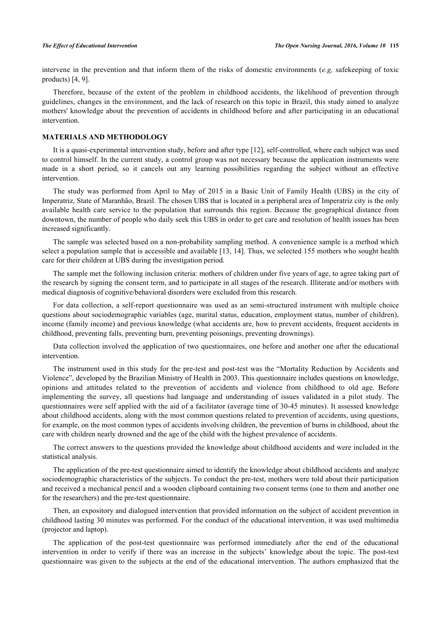intervene in the prevention and that inform them of the risks of domestic environments (*e.g,* safekeeping of toxic products) [\[4](#page-7-3), [9](#page-7-8)].

Therefore, because of the extent of the problem in childhood accidents, the likelihood of prevention through guidelines, changes in the environment, and the lack of research on this topic in Brazil, this study aimed to analyze mothers' knowledge about the prevention of accidents in childhood before and after participating in an educational intervention.

# **MATERIALS AND METHODOLOGY**

It is a quasi-experimental intervention study, before and after type [[12\]](#page-7-11), self-controlled, where each subject was used to control himself. In the current study, a control group was not necessary because the application instruments were made in a short period, so it cancels out any learning possibilities regarding the subject without an effective intervention.

The study was performed from April to May of 2015 in a Basic Unit of Family Health (UBS) in the city of Imperatriz, State of Maranhão, Brazil. The chosen UBS that is located in a peripheral area of Imperatriz city is the only available health care service to the population that surrounds this region. Because the geographical distance from downtown, the number of people who daily seek this UBS in order to get care and resolution of health issues has been increased significantly.

The sample was selected based on a non-probability sampling method. A convenience sample is a method which select a population sample that is accessible and available [[13](#page-7-12), [14\]](#page-7-13). Thus, we selected 155 mothers who sought health care for their children at UBS during the investigation period.

The sample met the following inclusion criteria: mothers of children under five years of age, to agree taking part of the research by signing the consent term, and to participate in all stages of the research. Illiterate and/or mothers with medical diagnosis of cognitive/behavioral disorders were excluded from this research.

For data collection, a self-report questionnaire was used as an semi-structured instrument with multiple choice questions about sociodemographic variables (age, marital status, education, employment status, number of children), income (family income) and previous knowledge (what accidents are, how to prevent accidents, frequent accidents in childhood, preventing falls, preventing burn, preventing poisonings, preventing drownings).

Data collection involved the application of two questionnaires, one before and another one after the educational intervention.

The instrument used in this study for the pre-test and post-test was the "Mortality Reduction by Accidents and Violence", developed by the Brazilian Ministry of Health in 2003. This questionnaire includes questions on knowledge, opinions and attitudes related to the prevention of accidents and violence from childhood to old age. Before implementing the survey, all questions had language and understanding of issues validated in a pilot study. The questionnaires were self applied with the aid of a facilitator (average time of 30-45 minutes). It assessed knowledge about childhood accidents, along with the most common questions related to prevention of accidents, using questions, for example, on the most common types of accidents involving children, the prevention of burns in childhood, about the care with children nearly drowned and the age of the child with the highest prevalence of accidents.

The correct answers to the questions provided the knowledge about childhood accidents and were included in the statistical analysis.

The application of the pre-test questionnaire aimed to identify the knowledge about childhood accidents and analyze sociodemographic characteristics of the subjects. To conduct the pre-test, mothers were told about their participation and received a mechanical pencil and a wooden clipboard containing two consent terms (one to them and another one for the researchers) and the pre-test questionnaire.

Then, an expository and dialogued intervention that provided information on the subject of accident prevention in childhood lasting 30 minutes was performed. For the conduct of the educational intervention, it was used multimedia (projector and laptop).

The application of the post-test questionnaire was performed immediately after the end of the educational intervention in order to verify if there was an increase in the subjects' knowledge about the topic. The post-test questionnaire was given to the subjects at the end of the educational intervention. The authors emphasized that the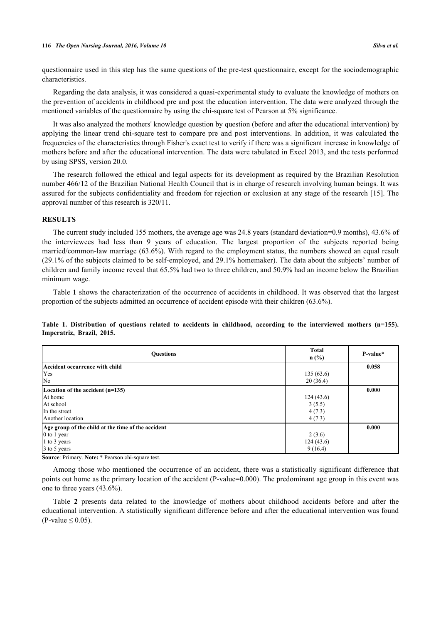### **116** *The Open Nursing Journal, 2016, Volume 10 Silva et al.*

questionnaire used in this step has the same questions of the pre-test questionnaire, except for the sociodemographic characteristics.

Regarding the data analysis, it was considered a quasi-experimental study to evaluate the knowledge of mothers on the prevention of accidents in childhood pre and post the education intervention. The data were analyzed through the mentioned variables of the questionnaire by using the chi-square test of Pearson at 5% significance.

It was also analyzed the mothers' knowledge question by question (before and after the educational intervention) by applying the linear trend chi-square test to compare pre and post interventions. In addition, it was calculated the frequencies of the characteristics through Fisher's exact test to verify if there was a significant increase in knowledge of mothers before and after the educational intervention. The data were tabulated in Excel 2013, and the tests performed by using SPSS, version 20.0.

The research followed the ethical and legal aspects for its development as required by the Brazilian Resolution number 466/12 of the Brazilian National Health Council that is in charge of research involving human beings. It was assured for the subjects confidentiality and freedom for rejection or exclusion at any stage of the research [[15\]](#page-7-14). The approval number of this research is 320/11.

## **RESULTS**

The current study included 155 mothers, the average age was 24.8 years (standard deviation=0.9 months), 43.6% of the interviewees had less than 9 years of education. The largest proportion of the subjects reported being married/common-law marriage (63.6%). With regard to the employment status, the numbers showed an equal result (29.1% of the subjects claimed to be self-employed, and 29.1% homemaker). The data about the subjects' number of children and family income reveal that 65.5% had two to three children, and 50.9% had an income below the Brazilian minimum wage.

Table **[1](#page-3-0)** shows the characterization of the occurrence of accidents in childhood. It was observed that the largest proportion of the subjects admitted an occurrence of accident episode with their children (63.6%).

### <span id="page-3-0"></span>**Table 1. Distribution of questions related to accidents in childhood, according to the interviewed mothers (n=155). Imperatriz, Brazil, 2015.**

| <b>Ouestions</b>                                   | <b>Total</b><br>$n$ (%) | P-value* |
|----------------------------------------------------|-------------------------|----------|
| Accident occurrence with child                     |                         | 0.058    |
| Yes                                                | 135(63.6)               |          |
| N <sub>o</sub>                                     | 20(36.4)                |          |
| Location of the accident $(n=135)$                 |                         | 0.000    |
| At home                                            | 124(43.6)               |          |
| At school                                          | 3(5.5)                  |          |
| In the street                                      | 4(7.3)                  |          |
| Another location                                   | 4(7.3)                  |          |
| Age group of the child at the time of the accident |                         | 0.000    |
| 0 to 1 year                                        | 2(3.6)                  |          |
| 1 to 3 years                                       | 124(43.6)               |          |
| 3 to 5 years                                       | 9(16.4)                 |          |

**Source**: Primary. **Note:** \* Pearson chi-square test.

Among those who mentioned the occurrence of an accident, there was a statistically significant difference that points out home as the primary location of the accident (P-value=0.000). The predominant age group in this event was one to three years (43.6%).

Table**2** presents data related to the knowledge of mothers about childhood accidents before and after the educational intervention. A statistically significant difference before and after the educational intervention was found (P-value  $\leq$  0.05).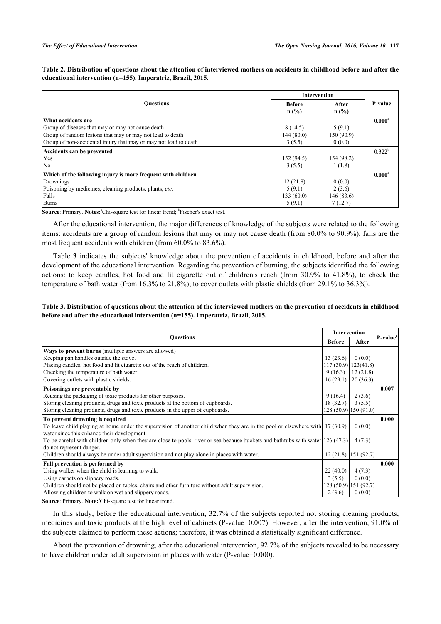<span id="page-4-0"></span>**Table 2. Distribution of questions about the attention of interviewed mothers on accidents in childhood before and after the educational intervention (n=155). Imperatriz, Brazil, 2015.**

|                                                                  |                          | <b>Intervention</b> |                 |  |
|------------------------------------------------------------------|--------------------------|---------------------|-----------------|--|
| <b>Ouestions</b>                                                 | <b>Before</b><br>$n$ (%) | After<br>$n$ (%)    | P-value         |  |
| What accidents are                                               |                          |                     | $0.000^{\circ}$ |  |
| Group of diseases that may or may not cause death                | 8(14.5)                  | 5(9.1)              |                 |  |
| Group of random lesions that may or may not lead to death        | 144(80.0)                | 150 (90.9)          |                 |  |
| Group of non-accidental injury that may or may not lead to death | 3(5.5)                   | 0(0.0)              |                 |  |
| Accidents can be prevented                                       |                          |                     | $0.322^b$       |  |
| Yes                                                              | 152 (94.5)               | 154 (98.2)          |                 |  |
| N <sub>0</sub>                                                   | 3(5.5)                   | 1(1.8)              |                 |  |
| Which of the following injury is more frequent with children     |                          |                     | $0.000^{\circ}$ |  |
| Drownings                                                        | 12(21.8)                 | 0(0.0)              |                 |  |
| Poisoning by medicines, cleaning products, plants, <i>etc.</i>   | 5(9.1)                   | 2(3.6)              |                 |  |
| Falls                                                            | 133(60.0)                | 146(83.6)           |                 |  |
| Burns                                                            | 5(9.1)                   | 7(12.7)             |                 |  |

**Source: Primary. Notes:**<sup>a</sup>Chi-square test for linear trend; <sup>b</sup>Fischer's exact test.

After the educational intervention, the major differences of knowledge of the subjects were related to the following items: accidents are a group of random lesions that may or may not cause death (from 80.0% to 90.9%), falls are the most frequent accidents with children (from 60.0% to 83.6%).

Table **[3](#page-4-1)** indicates the subjects' knowledge about the prevention of accidents in childhood, before and after the development of the educational intervention. Regarding the prevention of burning, the subjects identified the following actions: to keep candles, hot food and lit cigarette out of children's reach (from 30.9% to 41.8%), to check the temperature of bath water (from 16.3% to 21.8%); to cover outlets with plastic shields (from 29.1% to 36.3%).

<span id="page-4-1"></span>**Table 3. Distribution of questions about the attention of the interviewed mothers on the prevention of accidents in childhood before and after the educational intervention (n=155). Imperatriz, Brazil, 2015.**

| <b>Questions</b>                                                                                                                   |                                   | <b>Intervention</b>     |                      |
|------------------------------------------------------------------------------------------------------------------------------------|-----------------------------------|-------------------------|----------------------|
|                                                                                                                                    |                                   | After                   | P-value <sup>a</sup> |
| <b>Ways to prevent burns</b> (multiple answers are allowed)                                                                        |                                   |                         |                      |
| Keeping pan handles outside the stove.                                                                                             | 13(23.6)                          | 0(0.0)                  |                      |
| Placing candles, hot food and lit cigarette out of the reach of children.                                                          | $\left[117(30.9)\right]123(41.8)$ |                         |                      |
| Checking the temperature of bath water.                                                                                            | 9(16.3)                           | 12(21.8)                |                      |
| Covering outlets with plastic shields.                                                                                             | 16(29.1)                          | 20(36.3)                |                      |
| Poisonings are preventable by                                                                                                      |                                   |                         | 0.007                |
| Reusing the packaging of toxic products for other purposes.                                                                        | 9(16.4)                           | 2(3.6)                  |                      |
| Storing cleaning products, drugs and toxic products at the bottom of cupboards.                                                    | 18(32.7)                          | 3(5.5)                  |                      |
| Storing cleaning products, drugs and toxic products in the upper of cupboards.                                                     |                                   | 128 (50.9) 150 (91.0)   |                      |
| To prevent drowning is required                                                                                                    |                                   |                         | 0.000                |
| To leave child playing at home under the supervision of another child when they are in the pool or elsewhere with 17 (30.9)        |                                   | 0(0.0)                  |                      |
| water since this enhance their development.                                                                                        |                                   |                         |                      |
| To be careful with children only when they are close to pools, river or sea because buckets and bathtubs with water $(126 (47.3))$ |                                   | 4(7.3)                  |                      |
| do not represent danger.                                                                                                           |                                   |                         |                      |
| Children should always be under adult supervision and not play alone in places with water.                                         |                                   | $12(21.8)$ [151 (92.7)] |                      |
| Fall prevention is performed by                                                                                                    |                                   |                         | 0.000                |
| Using walker when the child is learning to walk.                                                                                   | 22(40.0)                          | 4(7.3)                  |                      |
| Using carpets on slippery roads.                                                                                                   | 3(5.5)                            | 0(0.0)                  |                      |
| Children should not be placed on tables, chairs and other furniture without adult supervision.                                     |                                   | 128 (50.9) 151 (92.7)   |                      |
| Allowing children to walk on wet and slippery roads.                                                                               | 2(3.6)                            | 0(0.0)                  |                      |
| Course Drimow. Notes <sup>3</sup> Chi causes toot for linear trand                                                                 |                                   |                         |                      |

**Source:** Primary. **Note:**<sup>a</sup>Chi-square test for linear trend.

In this study, before the educational intervention, 32.7% of the subjects reported not storing cleaning products, medicines and toxic products at the high level of cabinets **(**P-value=0.007). However, after the intervention, 91.0% of the subjects claimed to perform these actions; therefore, it was obtained a statistically significant difference.

About the prevention of drowning, after the educational intervention, 92.7% of the subjects revealed to be necessary to have children under adult supervision in places with water (P-value=0.000).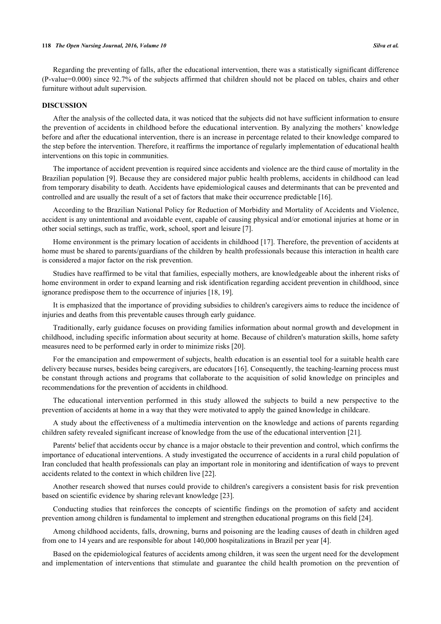Regarding the preventing of falls, after the educational intervention, there was a statistically significant difference (P-value=0.000) since 92.7% of the subjects affirmed that children should not be placed on tables, chairs and other furniture without adult supervision.

### **DISCUSSION**

After the analysis of the collected data, it was noticed that the subjects did not have sufficient information to ensure the prevention of accidents in childhood before the educational intervention. By analyzing the mothers' knowledge before and after the educational intervention, there is an increase in percentage related to their knowledge compared to the step before the intervention. Therefore, it reaffirms the importance of regularly implementation of educational health interventions on this topic in communities.

The importance of accident prevention is required since accidents and violence are the third cause of mortality in the Brazilian population [\[9](#page-7-8)]. Because they are considered major public health problems, accidents in childhood can lead from temporary disability to death. Accidents have epidemiological causes and determinants that can be prevented and controlled and are usually the result of a set of factors that make their occurrence predictable [\[16](#page-7-15)].

According to the Brazilian National Policy for Reduction of Morbidity and Mortality of Accidents and Violence, accident is any unintentional and avoidable event, capable of causing physical and/or emotional injuries at home or in other social settings, such as traffic, work, school, sport and leisure [[7\]](#page-7-6).

Home environment is the primary location of accidents in childhood [\[17](#page-7-16)]. Therefore, the prevention of accidents at home must be shared to parents/guardians of the children by health professionals because this interaction in health care is considered a major factor on the risk prevention.

Studies have reaffirmed to be vital that families, especially mothers, are knowledgeable about the inherent risks of home environment in order to expand learning and risk identification regarding accident prevention in childhood, since ignorance predispose them to the occurrence of injuries [\[18](#page-7-17), [19](#page-7-18)].

It is emphasized that the importance of providing subsidies to children's caregivers aims to reduce the incidence of injuries and deaths from this preventable causes through early guidance.

Traditionally, early guidance focuses on providing families information about normal growth and development in childhood, including specific information about security at home. Because of children's maturation skills, home safety measures need to be performed early in order to minimize risks [[20\]](#page-7-19).

For the emancipation and empowerment of subjects, health education is an essential tool for a suitable health care delivery because nurses, besides being caregivers, are educators [[16\]](#page-7-15). Consequently, the teaching-learning process must be constant through actions and programs that collaborate to the acquisition of solid knowledge on principles and recommendations for the prevention of accidents in childhood.

The educational intervention performed in this study allowed the subjects to build a new perspective to the prevention of accidents at home in a way that they were motivated to apply the gained knowledge in childcare.

A study about the effectiveness of a multimedia intervention on the knowledge and actions of parents regarding children safety revealed significant increase of knowledge from the use of the educational intervention [[21\]](#page-7-20).

Parents' belief that accidents occur by chance is a major obstacle to their prevention and control, which confirms the importance of educational interventions. A study investigated the occurrence of accidents in a rural child population of Iran concluded that health professionals can play an important role in monitoring and identification of ways to prevent accidents related to the context in which children live [\[22](#page-8-0)].

Another research showed that nurses could provide to children's caregivers a consistent basis for risk prevention based on scientific evidence by sharing relevant knowledge [[23\]](#page-8-1).

Conducting studies that reinforces the concepts of scientific findings on the promotion of safety and accident prevention among children is fundamental to implement and strengthen educational programs on this field [[24\]](#page-8-2).

Among childhood accidents, falls, drowning, burns and poisoning are the leading causes of death in children aged from one to 14 years and are responsible for about 140,000 hospitalizations in Brazil per year [\[4](#page-7-3)].

Based on the epidemiological features of accidents among children, it was seen the urgent need for the development and implementation of interventions that stimulate and guarantee the child health promotion on the prevention of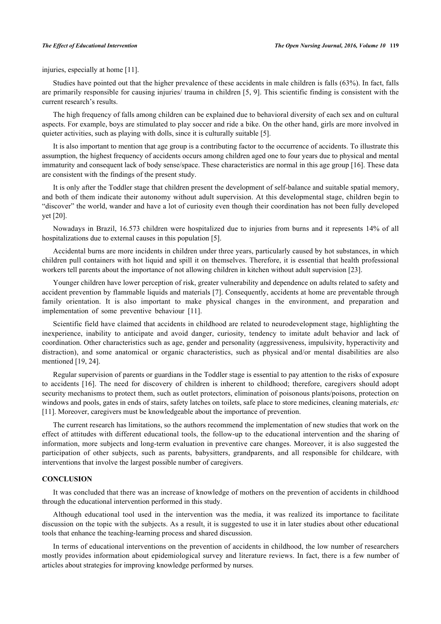injuries, especially at home [[11\]](#page-7-10).

Studies have pointed out that the higher prevalence of these accidents in male children is falls (63%). In fact, falls are primarily responsible for causing injuries/ trauma in children [[5,](#page-7-4) [9](#page-7-8)]. This scientific finding is consistent with the current research's results.

The high frequency of falls among children can be explained due to behavioral diversity of each sex and on cultural aspects. For example, boys are stimulated to play soccer and ride a bike. On the other hand, girls are more involved in quieter activities, such as playing with dolls, since it is culturally suitable [\[5](#page-7-4)].

It is also important to mention that age group is a contributing factor to the occurrence of accidents. To illustrate this assumption, the highest frequency of accidents occurs among children aged one to four years due to physical and mental immaturity and consequent lack of body sense/space. These characteristics are normal in this age group [\[16](#page-7-15)]. These data are consistent with the findings of the present study.

It is only after the Toddler stage that children present the development of self-balance and suitable spatial memory, and both of them indicate their autonomy without adult supervision. At this developmental stage, children begin to "discover" the world, wander and have a lot of curiosity even though their coordination has not been fully developed yet [[20\]](#page-7-19).

Nowadays in Brazil, 16.573 children were hospitalized due to injuries from burns and it represents 14% of all hospitalizations due to external causes in this population [\[5](#page-7-4)].

Accidental burns are more incidents in children under three years, particularly caused by hot substances, in which children pull containers with hot liquid and spill it on themselves. Therefore, it is essential that health professional workers tell parents about the importance of not allowing children in kitchen without adult supervision [[23\]](#page-8-1).

Younger children have lower perception of risk, greater vulnerability and dependence on adults related to safety and accident prevention by flammable liquids and materials [\[7](#page-7-6)]. Consequently, accidents at home are preventable through family orientation. It is also important to make physical changes in the environment, and preparation and implementation of some preventive behaviour[[11\]](#page-7-10).

Scientific field have claimed that accidents in childhood are related to neurodevelopment stage, highlighting the inexperience, inability to anticipate and avoid danger, curiosity, tendency to imitate adult behavior and lack of coordination. Other characteristics such as age, gender and personality (aggressiveness, impulsivity, hyperactivity and distraction), and some anatomical or organic characteristics, such as physical and/or mental disabilities are also mentioned [[19,](#page-7-18) [24\]](#page-8-2).

Regular supervision of parents or guardians in the Toddler stage is essential to pay attention to the risks of exposure to accidents [\[16](#page-7-15)]. The need for discovery of children is inherent to childhood; therefore, caregivers should adopt security mechanisms to protect them, such as outlet protectors, elimination of poisonous plants/poisons, protection on windows and pools, gates in ends of stairs, safety latches on toilets, safe place to store medicines, cleaning materials, *etc* [\[11](#page-7-10)]. Moreover, caregivers must be knowledgeable about the importance of prevention.

The current research has limitations, so the authors recommend the implementation of new studies that work on the effect of attitudes with different educational tools, the follow-up to the educational intervention and the sharing of information, more subjects and long-term evaluation in preventive care changes. Moreover, it is also suggested the participation of other subjects, such as parents, babysitters, grandparents, and all responsible for childcare, with interventions that involve the largest possible number of caregivers.

### **CONCLUSION**

It was concluded that there was an increase of knowledge of mothers on the prevention of accidents in childhood through the educational intervention performed in this study.

Although educational tool used in the intervention was the media, it was realized its importance to facilitate discussion on the topic with the subjects. As a result, it is suggested to use it in later studies about other educational tools that enhance the teaching-learning process and shared discussion.

In terms of educational interventions on the prevention of accidents in childhood, the low number of researchers mostly provides information about epidemiological survey and literature reviews. In fact, there is a few number of articles about strategies for improving knowledge performed by nurses.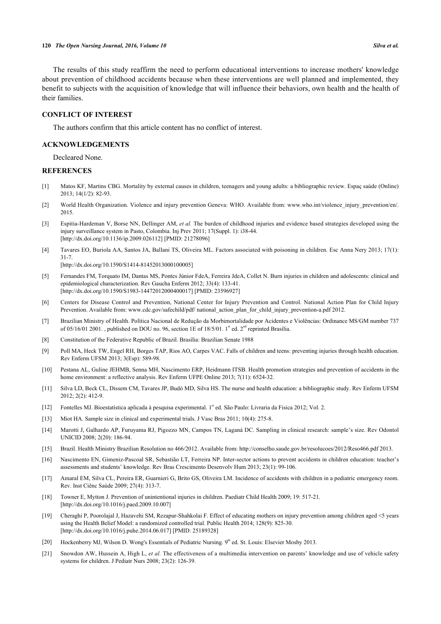### **120** *The Open Nursing Journal, 2016, Volume 10 Silva et al.*

The results of this study reaffirm the need to perform educational interventions to increase mothers' knowledge about prevention of childhood accidents because when these interventions are well planned and implemented, they benefit to subjects with the acquisition of knowledge that will influence their behaviors, own health and the health of their families.

### **CONFLICT OF INTEREST**

The authors confirm that this article content has no conflict of interest.

## **ACKNOWLEDGEMENTS**

Decleared None.

### **REFERENCES**

- <span id="page-7-0"></span>[1] Matos KF, Martins CBG. Mortality by external causes in children, teenagers and young adults: a bibliographic review. Espaç saúde (Online) 2013; 14(1/2): 82-93.
- <span id="page-7-1"></span>[2] World Health Organization. Violence and injury prevention Geneva: WHO. Available from: [www.who.int/violence\\_injury\\_prevention/en/.](http://www.who.int/violence_injury_prevention/en/) 2015.
- <span id="page-7-2"></span>[3] Espitia-Hardeman V, Borse NN, Dellinger AM, *et al.* The burden of childhood injuries and evidence based strategies developed using the injury surveillance system in Pasto, Colombia. Inj Prev 2011; 17(Suppl. 1): i38-44. [\[http://dx.doi.org/10.1136/ip.2009.026112](http://dx.doi.org/10.1136/ip.2009.026112)] [PMID: [21278096\]](http://www.ncbi.nlm.nih.gov/pubmed/21278096)
- <span id="page-7-3"></span>[4] Tavares EO, Buriola AA, Santos JA, Ballani TS, Oliveira ML. Factors associated with poisoning in children. Esc Anna Nery 2013; 17(1): 31-7.

[\[http://dx.doi.org/10.1590/S1414-81452013000100005\]](http://dx.doi.org/10.1590/S1414-81452013000100005)

- <span id="page-7-4"></span>[5] Fernandes FM, Torquato IM, Dantas MS, Pontes Júnior FdeA, Ferreira JdeA, Collet N. Burn injuries in children and adolescents: clinical and epidemiological characterization. Rev Gaucha Enferm 2012; 33(4): 133-41. [\[http://dx.doi.org/10.1590/S1983-14472012000400017\]](http://dx.doi.org/10.1590/S1983-14472012000400017) [PMID: [23596927](http://www.ncbi.nlm.nih.gov/pubmed/23596927)]
- <span id="page-7-5"></span>[6] Centers for Disease Control and Prevention, National Center for Injury Prevention and Control. National Action Plan for Child Injury Prevention. Available from: [www.cdc.gov/safechild/pdf/ national\\_action\\_plan\\_for\\_child\\_injury\\_prevention-a.pdf](https://www.cdc.gov/safechild/pdf/%20national_action_plan_for_child_injury_prevention-a.pdf) 2012.
- <span id="page-7-6"></span>[7] Brazilian Ministry of Health. Política Nacional de Redução da Morbimortalidade por Acidentes e Violências: Ordinance MS/GM number 737 of 05/16/01 2001., published on DOU no. 96, section 1E of 18/5/01. 1<sup>st</sup> ed. 2<sup>nd</sup> reprinted Brasília.
- <span id="page-7-7"></span>[8] Constitution of the Federative Republic of Brazil. Brasília: Brazilian Senate 1988
- <span id="page-7-8"></span>[9] Poll MA, Heck TW, Engel RH, Borges TAP, Rios AO, Carpes VAC. Falls of children and teens: preventing injuries through health education. Rev Enferm UFSM 2013; 3(Esp): 589-98.
- <span id="page-7-9"></span>[10] Pestana AL, Guline JEHMB, Senna MH, Nascimento ERP, Heidmann ITSB. Health promotion strategies and prevention of accidents in the home environment: a reflective analysis. Rev Enferm UFPE Online 2013; 7(11): 6524-32.
- <span id="page-7-10"></span>[11] Silva LD, Beck CL, Dissem CM, Tavares JP, Budó MD, Silva HS. The nurse and health education: a bibliographic study. Rev Enferm UFSM 2012; 2(2): 412-9.
- <span id="page-7-11"></span>[12] Fontelles MJ. Bioestatística aplicada à pesquisa experimental. 1<sup>st</sup> ed. São Paulo: Livraria da Fisica 2012; Vol. 2.
- <span id="page-7-12"></span>[13] Miot HA. Sample size in clinical and experimental trials. J Vasc Bras 2011; 10(4): 275-8.
- <span id="page-7-13"></span>[14] Marotti J, Galhardo AP, Furuyama RJ, Pigozzo MN, Campos TN, Laganá DC. Sampling in clinical research: sample's size. Rev Odontol UNICID 2008; 2(20): 186-94.
- <span id="page-7-14"></span>[15] Brazil. Health Ministry Brazilian Resolution no 466/2012. Available from:<http://conselho.saude.gov.br/resolucoes/2012/Reso466.pdf>2013.
- <span id="page-7-15"></span>[16] Nascimento EN, Gimeniz-Pascoal SR, Sebastião LT, Ferreira NP. Inter-sector actions to prevent accidents in children education: teacher's assessments and students' knowledge. Rev Bras Crescimento Desenvolv Hum 2013; 23(1): 99-106.
- <span id="page-7-16"></span>[17] Amaral EM, Silva CL, Pereira ER, Guarnieri G, Brito GS, Oliveira LM. Incidence of accidents with children in a pediatric emergency room. Rev. Inst Ciênc Saúde 2009; 27(4): 313-7.
- <span id="page-7-17"></span>[18] Towner E, Mytton J. Prevention of unintentional injuries in children. Paediatr Child Health 2009; 19: 517-21. [\[http://dx.doi.org/10.1016/j.paed.2009.10.007](http://dx.doi.org/10.1016/j.paed.2009.10.007)]
- <span id="page-7-18"></span>[19] Cheraghi P, Poorolajal J, Hazavehi SM, Rezapur-Shahkolai F. Effect of educating mothers on injury prevention among children aged <5 years using the Health Belief Model: a randomized controlled trial. Public Health 2014; 128(9): 825-30. [\[http://dx.doi.org/10.1016/j.puhe.2014.06.017\]](http://dx.doi.org/10.1016/j.puhe.2014.06.017) [PMID: [25189328](http://www.ncbi.nlm.nih.gov/pubmed/25189328)]
- <span id="page-7-19"></span>[20] Hockenberry MJ, Wilson D. Wong's Essentials of Pediatric Nursing. 9<sup>th</sup> ed. St. Louis: Elsevier Mosby 2013.
- <span id="page-7-20"></span>[21] Snowdon AW, Hussein A, High L, et al. The effectiveness of a multimedia intervention on parents' knowledge and use of vehicle safety systems for children. J Pediatr Nurs 2008; 23(2): 126-39.